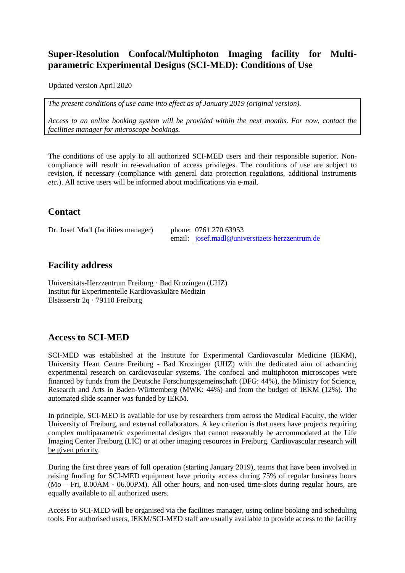## **Super-Resolution Confocal/Multiphoton Imaging facility for Multiparametric Experimental Designs (SCI-MED): Conditions of Use**

Updated version April 2020

*The present conditions of use came into effect as of January 2019 (original version).* 

*Access to an online booking system will be provided within the next months. For now, contact the facilities manager for microscope bookings.*

The conditions of use apply to all authorized SCI-MED users and their responsible superior. Noncompliance will result in re-evaluation of access privileges. The conditions of use are subject to revision, if necessary (compliance with general data protection regulations, additional instruments *etc.*). All active users will be informed about modifications via e-mail.

## **Contact**

Dr. Josef Madl (facilities manager) phone: 0761 270 63953

email: [josef.madl@universitaets-herzzentrum.de](mailto:josef.madl@universitaets-herzzentrum.de)

## **Facility address**

Universitäts-Herzzentrum Freiburg · Bad Krozingen (UHZ) Institut für Experimentelle Kardiovaskuläre Medizin Elsässerstr 2q · 79110 Freiburg

# **Access to SCI-MED**

SCI-MED was established at the Institute for Experimental Cardiovascular Medicine (IEKM), University Heart Centre Freiburg - Bad Krozingen (UHZ) with the dedicated aim of advancing experimental research on cardiovascular systems. The confocal and multiphoton microscopes were financed by funds from the Deutsche Forschungsgemeinschaft (DFG: 44%), the Ministry for Science, Research and Arts in Baden-Württemberg (MWK: 44%) and from the budget of IEKM (12%). The automated slide scanner was funded by IEKM.

In principle, SCI-MED is available for use by researchers from across the Medical Faculty, the wider University of Freiburg, and external collaborators. A key criterion is that users have projects requiring complex multiparametric experimental designs that cannot reasonably be accommodated at the Life Imaging Center Freiburg (LIC) or at other imaging resources in Freiburg. Cardiovascular research will be given priority.

During the first three years of full operation (starting January 2019), teams that have been involved in raising funding for SCI-MED equipment have priority access during 75% of regular business hours (Mo – Fri, 8.00AM - 06.00PM). All other hours, and non-used time-slots during regular hours, are equally available to all authorized users.

Access to SCI-MED will be organised via the facilities manager, using online booking and scheduling tools. For authorised users, IEKM/SCI-MED staff are usually available to provide access to the facility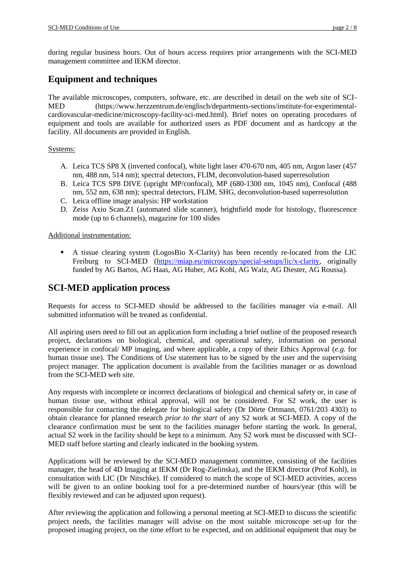during regular business hours. Out of hours access requires prior arrangements with the SCI-MED management committee and IEKM director.

# **Equipment and techniques**

The available microscopes, computers, software, etc. are described in detail on the web site of SCI-MED (https://www.herzzentrum.de/englisch/departments-sections/institute-for-experimentalcardiovascular-medicine/microscopy-facility-sci-med.html). Brief notes on operating procedures of equipment and tools are available for authorized users as PDF document and as hardcopy at the facility. All documents are provided in English.

### Systems:

- A. Leica TCS SP8 X (inverted confocal), white light laser 470-670 nm, 405 nm, Argon laser (457 nm, 488 nm, 514 nm); spectral detectors, FLIM, deconvolution-based superresolution
- B. Leica TCS SP8 DIVE (upright MP/confocal), MP (680-1300 nm, 1045 nm), Confocal (488 nm, 552 nm, 638 nm); spectral detectors, FLIM, SHG, deconvolution-based superresolution
- C. Leica offline image analysis: HP workstation
- D. Zeiss Axio Scan.Z1 (automated slide scanner), brightfield mode for histology, fluorescence mode (up to 6 channels), magazine for 100 slides

### Additional instrumentation:

 A tissue clearing system (LogosBio X-Clarity) has been recently re-located from the LIC Freiburg to SCI-MED [\(https://miap.eu/microscopy/special-setups/lic/x-clarity,](https://miap.eu/microscopy/special-setups/lic/x-clarity) originally funded by AG Bartos, AG Haas, AG Huber, AG Kohl, AG Walz, AG Diester, AG Roussa).

# **SCI-MED application process**

Requests for access to SCI-MED should be addressed to the facilities manager via e-mail. All submitted information will be treated as confidential.

All aspiring users need to fill out an application form including a brief outline of the proposed research project, declarations on biological, chemical, and operational safety, information on personal experience in confocal/ MP imaging, and where applicable, a copy of their Ethics Approval (*e.g.* for human tissue use). The Conditions of Use statement has to be signed by the user and the supervising project manager. The application document is available from the facilities manager or as download from the SCI-MED web site.

Any requests with incomplete or incorrect declarations of biological and chemical safety or, in case of human tissue use, without ethical approval, will not be considered. For S2 work, the user is responsible for contacting the delegate for biological safety (Dr Dörte Ortmann, 0761/203 4303) to obtain clearance for planned research *prior to the start* of any S2 work at SCI-MED. A copy of the clearance confirmation must be sent to the facilities manager before starting the work. In general, actual S2 work in the facility should be kept to a minimum. Any S2 work must be discussed with SCI-MED staff before starting and clearly indicated in the booking system.

Applications will be reviewed by the SCI-MED management committee, consisting of the facilities manager, the head of 4D Imaging at IEKM (Dr Rog-Zielinska), and the IEKM director (Prof Kohl), in consultation with LIC (Dr Nitschke). If considered to match the scope of SCI-MED activities, access will be given to an online booking tool for a pre-determined number of hours/year (this will be flexibly reviewed and can be adjusted upon request).

After reviewing the application and following a personal meeting at SCI-MED to discuss the scientific project needs, the facilities manager will advise on the most suitable microscope set-up for the proposed imaging project, on the time effort to be expected, and on additional equipment that may be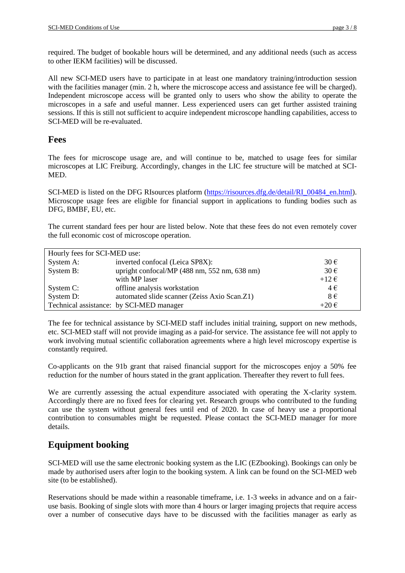required. The budget of bookable hours will be determined, and any additional needs (such as access to other IEKM facilities) will be discussed.

All new SCI-MED users have to participate in at least one mandatory training/introduction session with the facilities manager (min. 2 h, where the microscope access and assistance fee will be charged). Independent microscope access will be granted only to users who show the ability to operate the microscopes in a safe and useful manner. Less experienced users can get further assisted training sessions. If this is still not sufficient to acquire independent microscope handling capabilities, access to SCI-MED will be re-evaluated.

## **Fees**

The fees for microscope usage are, and will continue to be, matched to usage fees for similar microscopes at LIC Freiburg. Accordingly, changes in the LIC fee structure will be matched at SCI-MED.

SCI-MED is listed on the DFG RIsources platform [\(https://risources.dfg.de/detail/RI\\_00484\\_en.html\)](https://risources.dfg.de/detail/RI_00484_en.html). Microscope usage fees are eligible for financial support in applications to funding bodies such as DFG, BMBF, EU, etc.

The current standard fees per hour are listed below. Note that these fees do not even remotely cover the full economic cost of microscope operation.

| Hourly fees for SCI-MED use: |                                              |                |
|------------------------------|----------------------------------------------|----------------|
| System A:                    | inverted confocal (Leica SP8X):              | $30 \in$       |
| System B:                    | upright confocal/MP (488 nm, 552 nm, 638 nm) | $30 \in$       |
|                              | with MP laser                                | $+12 \epsilon$ |
| System C:                    | offline analysis workstation                 | $4 \in$        |
| System D:                    | automated slide scanner (Zeiss Axio Scan.Z1) | $8 \in$        |
|                              | Technical assistance: by SCI-MED manager     | $+20 \in$      |

The fee for technical assistance by SCI-MED staff includes initial training, support on new methods, etc. SCI-MED staff will not provide imaging as a paid-for service. The assistance fee will not apply to work involving mutual scientific collaboration agreements where a high level microscopy expertise is constantly required.

Co-applicants on the 91b grant that raised financial support for the microscopes enjoy a 50% fee reduction for the number of hours stated in the grant application. Thereafter they revert to full fees.

We are currently assessing the actual expenditure associated with operating the X-clarity system. Accordingly there are no fixed fees for clearing yet. Research groups who contributed to the funding can use the system without general fees until end of 2020. In case of heavy use a proportional contribution to consumables might be requested. Please contact the SCI-MED manager for more details.

# **Equipment booking**

SCI-MED will use the same electronic booking system as the LIC (EZbooking). Bookings can only be made by authorised users after login to the booking system. A link can be found on the SCI-MED web site (to be established).

Reservations should be made within a reasonable timeframe, i.e. 1-3 weeks in advance and on a fairuse basis. Booking of single slots with more than 4 hours or larger imaging projects that require access over a number of consecutive days have to be discussed with the facilities manager as early as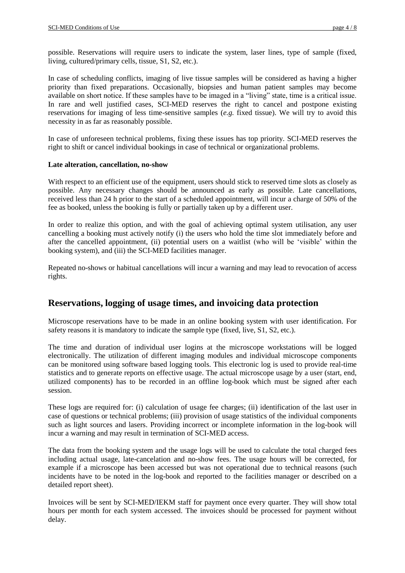possible. Reservations will require users to indicate the system, laser lines, type of sample (fixed, living, cultured/primary cells, tissue, S1, S2, etc.).

In case of scheduling conflicts, imaging of live tissue samples will be considered as having a higher priority than fixed preparations. Occasionally, biopsies and human patient samples may become available on short notice. If these samples have to be imaged in a "living" state, time is a critical issue. In rare and well justified cases, SCI-MED reserves the right to cancel and postpone existing reservations for imaging of less time-sensitive samples (*e.g.* fixed tissue). We will try to avoid this necessity in as far as reasonably possible.

In case of unforeseen technical problems, fixing these issues has top priority. SCI-MED reserves the right to shift or cancel individual bookings in case of technical or organizational problems.

#### **Late alteration, cancellation, no-show**

With respect to an efficient use of the equipment, users should stick to reserved time slots as closely as possible. Any necessary changes should be announced as early as possible. Late cancellations, received less than 24 h prior to the start of a scheduled appointment, will incur a charge of 50% of the fee as booked, unless the booking is fully or partially taken up by a different user.

In order to realize this option, and with the goal of achieving optimal system utilisation, any user cancelling a booking must actively notify (i) the users who hold the time slot immediately before and after the cancelled appointment, (ii) potential users on a waitlist (who will be 'visible' within the booking system), and (iii) the SCI-MED facilities manager.

Repeated no-shows or habitual cancellations will incur a warning and may lead to revocation of access rights.

### **Reservations, logging of usage times, and invoicing data protection**

Microscope reservations have to be made in an online booking system with user identification. For safety reasons it is mandatory to indicate the sample type (fixed, live, S1, S2, etc.).

The time and duration of individual user logins at the microscope workstations will be logged electronically. The utilization of different imaging modules and individual microscope components can be monitored using software based logging tools. This electronic log is used to provide real-time statistics and to generate reports on effective usage. The actual microscope usage by a user (start, end, utilized components) has to be recorded in an offline log-book which must be signed after each session.

These logs are required for: (i) calculation of usage fee charges; (ii) identification of the last user in case of questions or technical problems; (iii) provision of usage statistics of the individual components such as light sources and lasers. Providing incorrect or incomplete information in the log-book will incur a warning and may result in termination of SCI-MED access.

The data from the booking system and the usage logs will be used to calculate the total charged fees including actual usage, late-cancelation and no-show fees. The usage hours will be corrected, for example if a microscope has been accessed but was not operational due to technical reasons (such incidents have to be noted in the log-book and reported to the facilities manager or described on a detailed report sheet).

Invoices will be sent by SCI-MED/IEKM staff for payment once every quarter. They will show total hours per month for each system accessed. The invoices should be processed for payment without delay.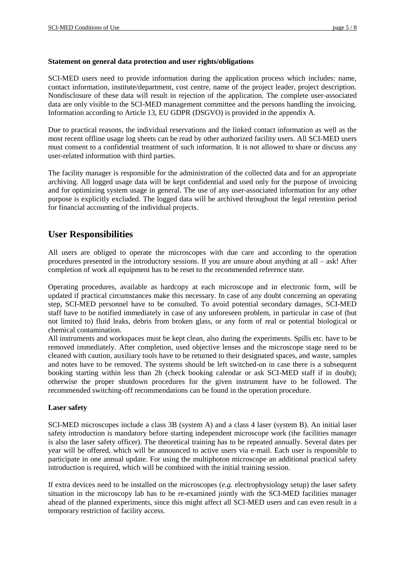#### **Statement on general data protection and user rights/obligations**

SCI-MED users need to provide information during the application process which includes: name, contact information, institute/department, cost centre, name of the project leader, project description. Nondisclosure of these data will result in rejection of the application. The complete user-associated data are only visible to the SCI-MED management committee and the persons handling the invoicing. Information according to Article 13, EU GDPR (DSGVO) is provided in the appendix A.

Due to practical reasons, the individual reservations and the linked contact information as well as the most recent offline usage log sheets can be read by other authorized facility users. All SCI-MED users must consent to a confidential treatment of such information. It is not allowed to share or discuss any user-related information with third parties.

The facility manager is responsible for the administration of the collected data and for an appropriate archiving. All logged usage data will be kept confidential and used only for the purpose of invoicing and for optimizing system usage in general. The use of any user-associated information for any other purpose is explicitly excluded. The logged data will be archived throughout the legal retention period for financial accounting of the individual projects.

## **User Responsibilities**

All users are obliged to operate the microscopes with due care and according to the operation procedures presented in the introductory sessions. If you are unsure about anything at all – ask! After completion of work all equipment has to be reset to the recommended reference state.

Operating procedures, available as hardcopy at each microscope and in electronic form, will be updated if practical circumstances make this necessary. In case of any doubt concerning an operating step, SCI-MED personnel have to be consulted. To avoid potential secondary damages, SCI-MED staff have to be notified immediately in case of any unforeseen problem, in particular in case of (but not limited to) fluid leaks, debris from broken glass, or any form of real or potential biological or chemical contamination.

All instruments and workspaces must be kept clean, also during the experiments. Spills etc. have to be removed immediately. After completion, used objective lenses and the microscope stage need to be cleaned with caution, auxiliary tools have to be returned to their designated spaces, and waste, samples and notes have to be removed. The systems should be left switched-on in case there is a subsequent booking starting within less than 2h (check booking calendar or ask SCI-MED staff if in doubt); otherwise the proper shutdown procedures for the given instrument have to be followed. The recommended switching-off recommendations can be found in the operation procedure.

#### **Laser safety**

SCI-MED microscopes include a class 3B (system A) and a class 4 laser (system B). An initial laser safety introduction is mandatory before starting independent microscope work (the facilities manager is also the laser safety officer). The theoretical training has to be repeated annually. Several dates per year will be offered, which will be announced to active users via e-mail. Each user is responsible to participate in one annual update. For using the multiphoton microscope an additional practical safety introduction is required, which will be combined with the initial training session.

If extra devices need to be installed on the microscopes (*e.g.* electrophysiology setup) the laser safety situation in the microscopy lab has to be re-examined jointly with the SCI-MED facilities manager ahead of the planned experiments, since this might affect all SCI-MED users and can even result in a temporary restriction of facility access.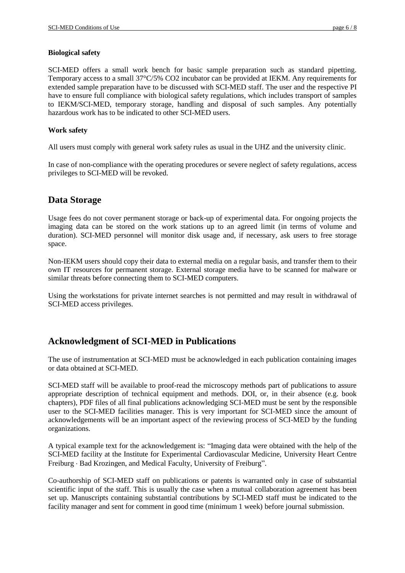#### **Biological safety**

SCI-MED offers a small work bench for basic sample preparation such as standard pipetting. Temporary access to a small 37°C/5% CO2 incubator can be provided at IEKM. Any requirements for extended sample preparation have to be discussed with SCI-MED staff. The user and the respective PI have to ensure full compliance with biological safety regulations, which includes transport of samples to IEKM/SCI-MED, temporary storage, handling and disposal of such samples. Any potentially hazardous work has to be indicated to other SCI-MED users.

### **Work safety**

All users must comply with general work safety rules as usual in the UHZ and the university clinic.

In case of non-compliance with the operating procedures or severe neglect of safety regulations, access privileges to SCI-MED will be revoked.

# **Data Storage**

Usage fees do not cover permanent storage or back-up of experimental data. For ongoing projects the imaging data can be stored on the work stations up to an agreed limit (in terms of volume and duration). SCI-MED personnel will monitor disk usage and, if necessary, ask users to free storage space.

Non-IEKM users should copy their data to external media on a regular basis, and transfer them to their own IT resources for permanent storage. External storage media have to be scanned for malware or similar threats before connecting them to SCI-MED computers.

Using the workstations for private internet searches is not permitted and may result in withdrawal of SCI-MED access privileges.

# **Acknowledgment of SCI-MED in Publications**

The use of instrumentation at SCI-MED must be acknowledged in each publication containing images or data obtained at SCI-MED.

SCI-MED staff will be available to proof-read the microscopy methods part of publications to assure appropriate description of technical equipment and methods. DOI, or, in their absence (e.g. book chapters), PDF files of all final publications acknowledging SCI-MED must be sent by the responsible user to the SCI-MED facilities manager. This is very important for SCI-MED since the amount of acknowledgements will be an important aspect of the reviewing process of SCI-MED by the funding organizations.

A typical example text for the acknowledgement is: "Imaging data were obtained with the help of the SCI-MED facility at the Institute for Experimental Cardiovascular Medicine, University Heart Centre Freiburg · Bad Krozingen, and Medical Faculty, University of Freiburg".

Co-authorship of SCI-MED staff on publications or patents is warranted only in case of substantial scientific input of the staff. This is usually the case when a mutual collaboration agreement has been set up. Manuscripts containing substantial contributions by SCI-MED staff must be indicated to the facility manager and sent for comment in good time (minimum 1 week) before journal submission.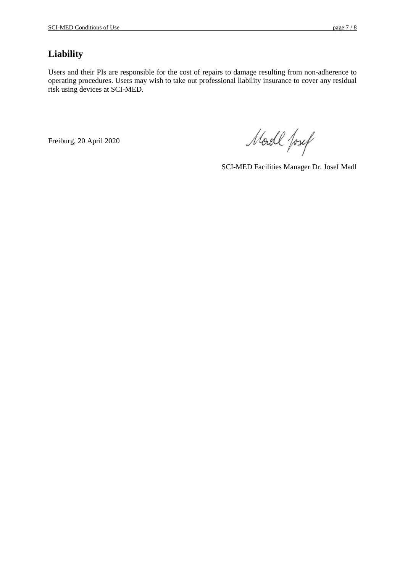# **Liability**

Users and their PIs are responsible for the cost of repairs to damage resulting from non-adherence to operating procedures. Users may wish to take out professional liability insurance to cover any residual risk using devices at SCI-MED.

Freiburg, 20 April 2020

Model fosef

SCI-MED Facilities Manager Dr. Josef Madl